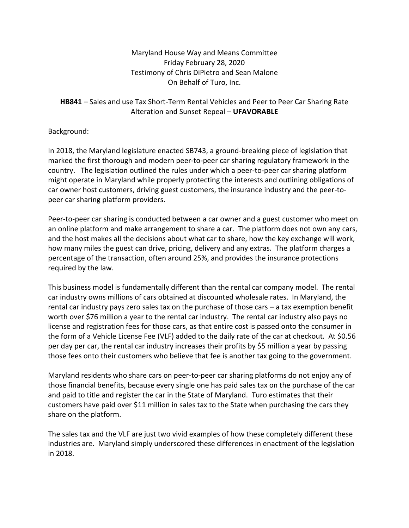Maryland House Way and Means Committee Friday February 28, 2020 Testimony of Chris DiPietro and Sean Malone On Behalf of Turo, Inc.

## **HB841** – Sales and use Tax Short-Term Rental Vehicles and Peer to Peer Car Sharing Rate Alteration and Sunset Repeal – **UFAVORABLE**

Background:

In 2018, the Maryland legislature enacted SB743, a ground-breaking piece of legislation that marked the first thorough and modern peer-to-peer car sharing regulatory framework in the country. The legislation outlined the rules under which a peer-to-peer car sharing platform might operate in Maryland while properly protecting the interests and outlining obligations of car owner host customers, driving guest customers, the insurance industry and the peer-topeer car sharing platform providers.

Peer-to-peer car sharing is conducted between a car owner and a guest customer who meet on an online platform and make arrangement to share a car. The platform does not own any cars, and the host makes all the decisions about what car to share, how the key exchange will work, how many miles the guest can drive, pricing, delivery and any extras. The platform charges a percentage of the transaction, often around 25%, and provides the insurance protections required by the law.

This business model is fundamentally different than the rental car company model. The rental car industry owns millions of cars obtained at discounted wholesale rates. In Maryland, the rental car industry pays zero sales tax on the purchase of those cars – a tax exemption benefit worth over \$76 million a year to the rental car industry. The rental car industry also pays no license and registration fees for those cars, as that entire cost is passed onto the consumer in the form of a Vehicle License Fee (VLF) added to the daily rate of the car at checkout. At \$0.56 per day per car, the rental car industry increases their profits by \$5 million a year by passing those fees onto their customers who believe that fee is another tax going to the government.

Maryland residents who share cars on peer-to-peer car sharing platforms do not enjoy any of those financial benefits, because every single one has paid sales tax on the purchase of the car and paid to title and register the car in the State of Maryland. Turo estimates that their customers have paid over \$11 million in sales tax to the State when purchasing the cars they share on the platform.

The sales tax and the VLF are just two vivid examples of how these completely different these industries are. Maryland simply underscored these differences in enactment of the legislation in 2018.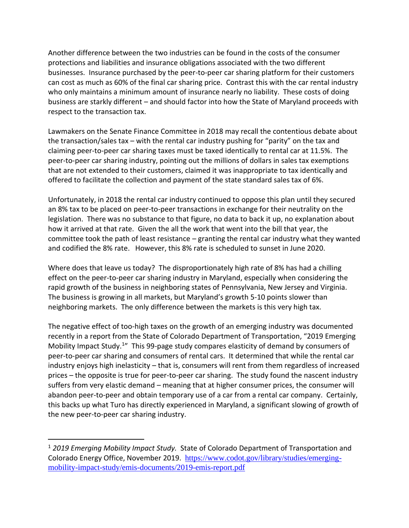Another difference between the two industries can be found in the costs of the consumer protections and liabilities and insurance obligations associated with the two different businesses. Insurance purchased by the peer-to-peer car sharing platform for their customers can cost as much as 60% of the final car sharing price. Contrast this with the car rental industry who only maintains a minimum amount of insurance nearly no liability. These costs of doing business are starkly different – and should factor into how the State of Maryland proceeds with respect to the transaction tax.

Lawmakers on the Senate Finance Committee in 2018 may recall the contentious debate about the transaction/sales tax – with the rental car industry pushing for "parity" on the tax and claiming peer-to-peer car sharing taxes must be taxed identically to rental car at 11.5%. The peer-to-peer car sharing industry, pointing out the millions of dollars in sales tax exemptions that are not extended to their customers, claimed it was inappropriate to tax identically and offered to facilitate the collection and payment of the state standard sales tax of 6%.

Unfortunately, in 2018 the rental car industry continued to oppose this plan until they secured an 8% tax to be placed on peer-to-peer transactions in exchange for their neutrality on the legislation. There was no substance to that figure, no data to back it up, no explanation about how it arrived at that rate. Given the all the work that went into the bill that year, the committee took the path of least resistance – granting the rental car industry what they wanted and codified the 8% rate. However, this 8% rate is scheduled to sunset in June 2020.

Where does that leave us today? The disproportionately high rate of 8% has had a chilling effect on the peer-to-peer car sharing industry in Maryland, especially when considering the rapid growth of the business in neighboring states of Pennsylvania, New Jersey and Virginia. The business is growing in all markets, but Maryland's growth 5-10 points slower than neighboring markets. The only difference between the markets is this very high tax.

The negative effect of too-high taxes on the growth of an emerging industry was documented recently in a report from the State of Colorado Department of Transportation, "2019 Emerging Mobility Impact Study.<sup>1</sup>" This 99-page study compares elasticity of demand by consumers of peer-to-peer car sharing and consumers of rental cars. It determined that while the rental car industry enjoys high inelasticity – that is, consumers will rent from them regardless of increased prices – the opposite is true for peer-to-peer car sharing. The study found the nascent industry suffers from very elastic demand – meaning that at higher consumer prices, the consumer will abandon peer-to-peer and obtain temporary use of a car from a rental car company. Certainly, this backs up what Turo has directly experienced in Maryland, a significant slowing of growth of the new peer-to-peer car sharing industry.

<sup>1</sup> *2019 Emerging Mobility Impact Study.* State of Colorado Department of Transportation and Colorado Energy Office, November 2019. [https://www.codot.gov/library/studies/emerging](https://www.codot.gov/library/studies/emerging-mobility-impact-study/emis-documents/2019-emis-report.pdf)[mobility-impact-study/emis-documents/2019-emis-report.pdf](https://www.codot.gov/library/studies/emerging-mobility-impact-study/emis-documents/2019-emis-report.pdf)